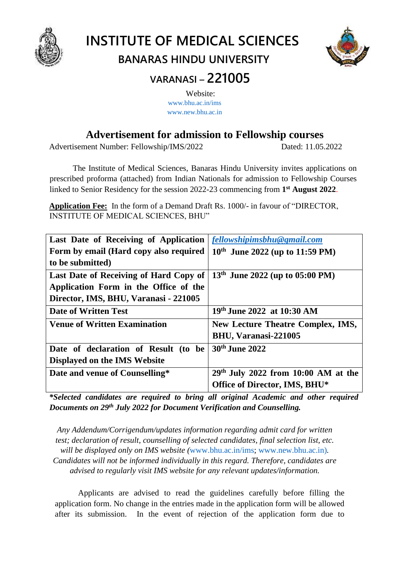

# **INSTITUTE OF MEDICAL SCIENCES BANARAS HINDU UNIVERSITY**



# **VARANASI – 221005**

Website: [www.bhu.ac.in/ims](http://www.bhu.ac.in/ims) [www.new.bhu.ac.in](http://www.new.bhu.ac.in/)

## **Advertisement for admission to Fellowship courses**

Advertisement Number: Fellowship/IMS/2022 Dated: 11.05.2022

The Institute of Medical Sciences, Banaras Hindu University invites applications on prescribed proforma (attached) from Indian Nationals for admission to Fellowship Courses linked to Senior Residency for the session 2022-23 commencing from **1 st August 2022**.

**Application Fee:** In the form of a Demand Draft Rs. 1000/- in favour of "DIRECTOR, INSTITUTE OF MEDICAL SCIENCES, BHU"

| Last Date of Receiving of Application <i>fellowshipimsbhu@gmail.com</i>               |
|---------------------------------------------------------------------------------------|
| Form by email (Hard copy also required<br>$10^{th}$ June 2022 (up to 11:59 PM)        |
|                                                                                       |
| 13 <sup>th</sup> June 2022 (up to 05:00 PM)<br>Last Date of Receiving of Hard Copy of |
|                                                                                       |
|                                                                                       |
| 19th June 2022 at 10:30 AM                                                            |
| <b>New Lecture Theatre Complex, IMS,</b>                                              |
| BHU, Varanasi-221005                                                                  |
| 30 <sup>th</sup> June 2022                                                            |
|                                                                                       |
| $29th$ July 2022 from 10:00 AM at the                                                 |
| Office of Director, IMS, BHU*                                                         |
|                                                                                       |

*\*Selected candidates are required to bring all original Academic and other required Documents on 29th July 2022 for Document Verification and Counselling.* 

*Any Addendum/Corrigendum/updates information regarding admit card for written test; declaration of result, counselling of selected candidates, final selection list, etc. will be displayed only on IMS website (*[www.bhu.ac.in/ims;](http://www.bhu.ac.in/ims) [www.new.bhu.ac.in\)](http://www.new.bhu.ac.in/)*. Candidates will not be informed individually in this regard. Therefore, candidates are advised to regularly visit IMS website for any relevant updates/information.* 

Applicants are advised to read the guidelines carefully before filling the application form. No change in the entries made in the application form will be allowed after its submission. In the event of rejection of the application form due to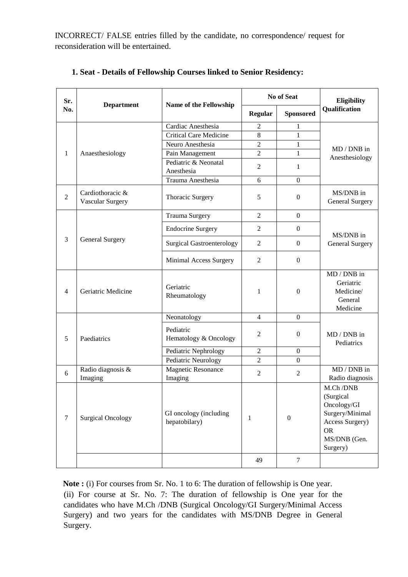INCORRECT/ FALSE entries filled by the candidate, no correspondence/ request for reconsideration will be entertained.

| Sr.              |                                             |                                         |                | No of Seat       | Eligibility                                                                                                         |
|------------------|---------------------------------------------|-----------------------------------------|----------------|------------------|---------------------------------------------------------------------------------------------------------------------|
| No.              | Name of the Fellowship<br><b>Department</b> |                                         | <b>Regular</b> | <b>Sponsored</b> | Qualification                                                                                                       |
|                  |                                             | Cardiac Anesthesia                      | $\overline{2}$ | $\mathbf{1}$     |                                                                                                                     |
|                  |                                             | <b>Critical Care Medicine</b>           | 8              | $\mathbf{1}$     |                                                                                                                     |
|                  |                                             | Neuro Anesthesia                        | $\overline{2}$ | $\mathbf{1}$     | $MD / DNB$ in                                                                                                       |
| 1                | Anaesthesiology                             | Pain Management                         | $\overline{2}$ | $\mathbf{1}$     | Anesthesiology                                                                                                      |
|                  |                                             | Pediatric & Neonatal<br>Anesthesia      | $\overline{2}$ | $\mathbf{1}$     |                                                                                                                     |
|                  |                                             | Trauma Anesthesia                       | 6              | $\overline{0}$   |                                                                                                                     |
| $\overline{2}$   | Cardiothoracic &<br><b>Vascular Surgery</b> | Thoracic Surgery                        | 5              | $\boldsymbol{0}$ | MS/DNB in<br>General Surgery                                                                                        |
|                  |                                             | <b>Trauma Surgery</b>                   | $\overline{2}$ | $\overline{0}$   |                                                                                                                     |
|                  |                                             | <b>Endocrine Surgery</b>                | $\overline{2}$ | $\overline{0}$   | MS/DNB in                                                                                                           |
| 3                | <b>General Surgery</b>                      | <b>Surgical Gastroenterology</b>        | 2              | $\overline{0}$   | <b>General Surgery</b>                                                                                              |
|                  |                                             | Minimal Access Surgery                  | $\overline{2}$ | $\boldsymbol{0}$ |                                                                                                                     |
| $\overline{4}$   | Geriatric Medicine                          | Geriatric<br>Rheumatology               | 1              | $\boldsymbol{0}$ | $MD / DNB$ in<br>Geriatric<br>Medicine/<br>General<br>Medicine                                                      |
|                  |                                             | Neonatology                             | $\overline{4}$ | $\boldsymbol{0}$ |                                                                                                                     |
| 5                | Paediatrics                                 | Pediatric<br>Hematology & Oncology      | $\overline{2}$ | $\overline{0}$   | MD / DNB in<br>Pediatrics                                                                                           |
|                  |                                             | Pediatric Nephrology                    | $\mathfrak{2}$ | $\boldsymbol{0}$ |                                                                                                                     |
|                  |                                             | Pediatric Neurology                     | $\overline{2}$ | $\boldsymbol{0}$ |                                                                                                                     |
| 6                | Radio diagnosis &<br>Imaging                | Magnetic Resonance<br>Imaging           | $\overline{2}$ | $\overline{2}$   | $MD / DNB$ in<br>Radio diagnosis                                                                                    |
| $\boldsymbol{7}$ | <b>Surgical Oncology</b>                    | GI oncology (including<br>hepatobilary) | 1              | $\boldsymbol{0}$ | M.Ch/DNB<br>(Surgical<br>Oncology/GI<br>Surgery/Minimal<br>Access Surgery)<br><b>OR</b><br>MS/DNB (Gen.<br>Surgery) |
|                  |                                             |                                         | 49             | $\tau$           |                                                                                                                     |

#### **1. Seat - Details of Fellowship Courses linked to Senior Residency:**

Note : (i) For courses from Sr. No. 1 to 6: The duration of fellowship is One year. (ii) For course at Sr. No. 7: The duration of fellowship is One year for the candidates who have M.Ch /DNB (Surgical Oncology/GI Surgery/Minimal Access Surgery) and two years for the candidates with MS/DNB Degree in General Surgery.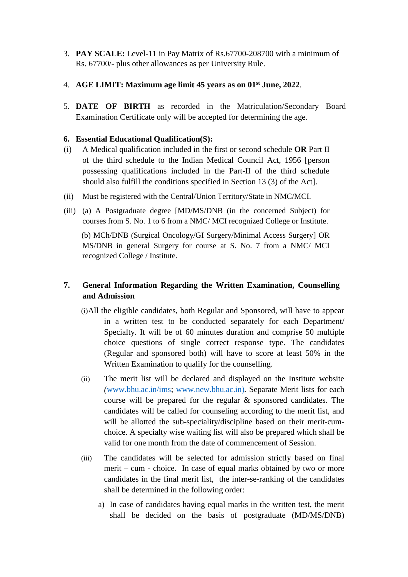- 3. **PAY SCALE:** Level-11 in Pay Matrix of Rs.67700-208700 with a minimum of Rs. 67700/- plus other allowances as per University Rule.
- 4. **AGE LIMIT: Maximum age limit 45 years as on 01 st June, 2022**.
- 5. **DATE OF BIRTH** as recorded in the Matriculation/Secondary Board Examination Certificate only will be accepted for determining the age.

#### **6. Essential Educational Qualification(S):**

- (i) A Medical qualification included in the first or second schedule **OR** Part II of the third schedule to the Indian Medical Council Act, 1956 [person possessing qualifications included in the Part-II of the third schedule should also fulfill the conditions specified in Section 13 (3) of the Act].
- (ii) Must be registered with the Central/Union Territory/State in NMC/MCI.
- (iii) (a) A Postgraduate degree [MD/MS/DNB (in the concerned Subject) for courses from S. No. 1 to 6 from a NMC/ MCI recognized College or Institute.

 (b) MCh/DNB (Surgical Oncology/GI Surgery/Minimal Access Surgery] OR MS/DNB in general Surgery for course at S. No. 7 from a NMC/ MCI recognized College / Institute.

#### **7. General Information Regarding the Written Examination, Counselling and Admission**

- (i)All the eligible candidates, both Regular and Sponsored, will have to appear in a written test to be conducted separately for each Department/ Specialty. It will be of 60 minutes duration and comprise 50 multiple choice questions of single correct response type. The candidates (Regular and sponsored both) will have to score at least 50% in the Written Examination to qualify for the counselling.
- (ii) The merit list will be declared and displayed on the Institute website *(*[www.bhu.ac.in/ims;](http://www.bhu.ac.in/ims) [www.new.bhu.ac.in\)](http://www.new.bhu.ac.in/)*.* Separate Merit lists for each course will be prepared for the regular & sponsored candidates. The candidates will be called for counseling according to the merit list, and will be allotted the sub-speciality/discipline based on their merit-cumchoice. A specialty wise waiting list will also be prepared which shall be valid for one month from the date of commencement of Session.
- (iii) The candidates will be selected for admission strictly based on final merit – cum - choice. In case of equal marks obtained by two or more candidates in the final merit list, the inter-se-ranking of the candidates shall be determined in the following order:
	- a) In case of candidates having equal marks in the written test, the merit shall be decided on the basis of postgraduate (MD/MS/DNB)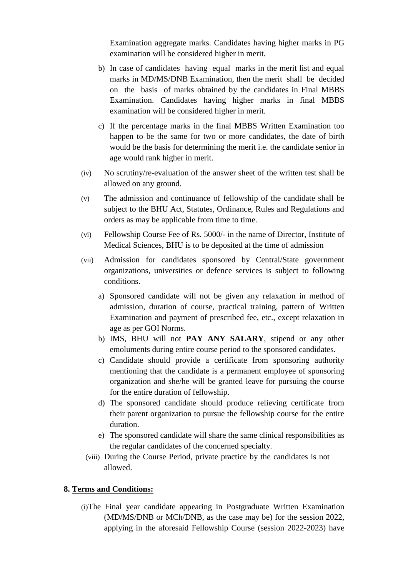Examination aggregate marks. Candidates having higher marks in PG examination will be considered higher in merit.

- b) In case of candidates having equal marks in the merit list and equal marks in MD/MS/DNB Examination, then the merit shall be decided on the basis of marks obtained by the candidates in Final MBBS Examination. Candidates having higher marks in final MBBS examination will be considered higher in merit.
- c) If the percentage marks in the final MBBS Written Examination too happen to be the same for two or more candidates, the date of birth would be the basis for determining the merit i.e. the candidate senior in age would rank higher in merit.
- (iv) No scrutiny/re-evaluation of the answer sheet of the written test shall be allowed on any ground.
- (v) The admission and continuance of fellowship of the candidate shall be subject to the BHU Act, Statutes, Ordinance, Rules and Regulations and orders as may be applicable from time to time.
- (vi) Fellowship Course Fee of Rs. 5000/- in the name of Director, Institute of Medical Sciences, BHU is to be deposited at the time of admission
- (vii) Admission for candidates sponsored by Central/State government organizations, universities or defence services is subject to following conditions.
	- a) Sponsored candidate will not be given any relaxation in method of admission, duration of course, practical training, pattern of Written Examination and payment of prescribed fee, etc., except relaxation in age as per GOI Norms.
	- b) IMS, BHU will not **PAY ANY SALARY**, stipend or any other emoluments during entire course period to the sponsored candidates.
	- c) Candidate should provide a certificate from sponsoring authority mentioning that the candidate is a permanent employee of sponsoring organization and she/he will be granted leave for pursuing the course for the entire duration of fellowship.
	- d) The sponsored candidate should produce relieving certificate from their parent organization to pursue the fellowship course for the entire duration.
	- e) The sponsored candidate will share the same clinical responsibilities as the regular candidates of the concerned specialty.
	- (viii) During the Course Period, private practice by the candidates is not allowed.

#### **8. Terms and Conditions:**

(i)The Final year candidate appearing in Postgraduate Written Examination (MD/MS/DNB or MCh/DNB, as the case may be) for the session 2022, applying in the aforesaid Fellowship Course (session 2022-2023) have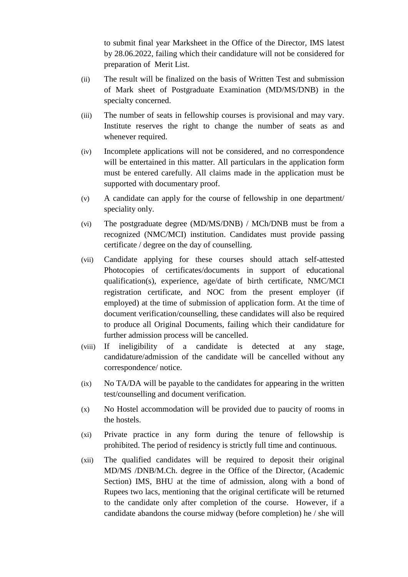to submit final year Marksheet in the Office of the Director, IMS latest by 28.06.2022, failing which their candidature will not be considered for preparation of Merit List.

- (ii) The result will be finalized on the basis of Written Test and submission of Mark sheet of Postgraduate Examination (MD/MS/DNB) in the specialty concerned.
- (iii) The number of seats in fellowship courses is provisional and may vary. Institute reserves the right to change the number of seats as and whenever required.
- (iv) Incomplete applications will not be considered, and no correspondence will be entertained in this matter. All particulars in the application form must be entered carefully. All claims made in the application must be supported with documentary proof.
- (v) A candidate can apply for the course of fellowship in one department/ speciality only.
- (vi) The postgraduate degree (MD/MS/DNB) / MCh/DNB must be from a recognized (NMC/MCI) institution. Candidates must provide passing certificate / degree on the day of counselling.
- (vii) Candidate applying for these courses should attach self-attested Photocopies of certificates/documents in support of educational qualification(s), experience, age/date of birth certificate, NMC/MCI registration certificate, and NOC from the present employer (if employed) at the time of submission of application form. At the time of document verification/counselling, these candidates will also be required to produce all Original Documents, failing which their candidature for further admission process will be cancelled.
- (viii) If ineligibility of a candidate is detected at any stage, candidature/admission of the candidate will be cancelled without any correspondence/ notice.
- (ix) No TA/DA will be payable to the candidates for appearing in the written test/counselling and document verification.
- (x) No Hostel accommodation will be provided due to paucity of rooms in the hostels.
- (xi) Private practice in any form during the tenure of fellowship is prohibited. The period of residency is strictly full time and continuous.
- (xii) The qualified candidates will be required to deposit their original MD/MS /DNB/M.Ch. degree in the Office of the Director, (Academic Section) IMS, BHU at the time of admission, along with a bond of Rupees two lacs, mentioning that the original certificate will be returned to the candidate only after completion of the course. However, if a candidate abandons the course midway (before completion) he / she will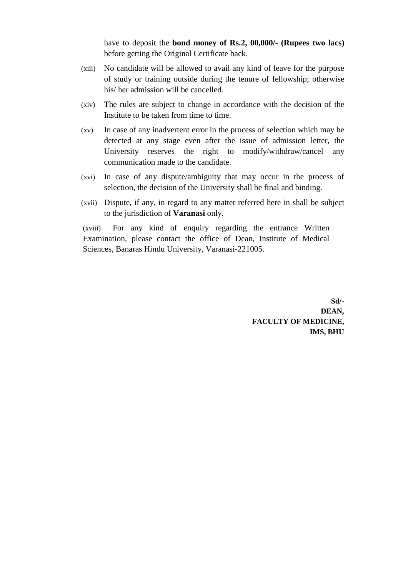have to deposit the **bond money of Rs.2, 00,000/- (Rupees two lacs)** before getting the Original Certificate back.

- (xiii) No candidate will be allowed to avail any kind of leave for the purpose of study or training outside during the tenure of fellowship; otherwise his/ her admission will be cancelled.
- (xiv) The rules are subject to change in accordance with the decision of the Institute to be taken from time to time.
- (xv) In case of any inadvertent error in the process of selection which may be detected at any stage even after the issue of admission letter, the University reserves the right to modify/withdraw/cancel any communication made to the candidate.
- (xvi) In case of any dispute/ambiguity that may occur in the process of selection, the decision of the University shall be final and binding.
- (xvii) Dispute, if any, in regard to any matter referred here in shall be subject to the jurisdiction of **Varanasi** only.

(xviii) For any kind of enquiry regarding the entrance Written Examination, please contact the office of Dean, Institute of Medical Sciences, Banaras Hindu University, Varanasi-221005.

> **Sd/- DEAN, FACULTY OF MEDICINE, IMS, BHU**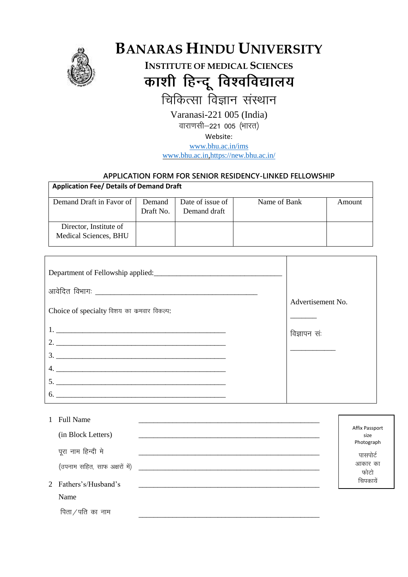

# **BANARAS HINDU UNIVERSITY**

**INSTITUTE OF MEDICAL SCIENCES** काशी हिन्दू विश्वविद्यालय

चिकित्सा विज्ञान संस्थान

Varanasi-221 005 (India)

वाराणसी-221 005 (भारत)

Website:

www.bhu.ac.in/ims

www.bhu.ac.in.https://new.bhu.ac.in/

#### APPLICATION FORM FOR SENIOR RESIDENCY-LINKED FELLOWSHIP

| <b>Application Fee/ Details of Demand Draft</b> |           |                  |              |        |  |  |  |
|-------------------------------------------------|-----------|------------------|--------------|--------|--|--|--|
| Demand Draft in Favor of                        | Demand    | Date of issue of | Name of Bank | Amount |  |  |  |
|                                                 | Draft No. | Demand draft     |              |        |  |  |  |
| Director, Institute of                          |           |                  |              |        |  |  |  |
| Medical Sciences, BHU                           |           |                  |              |        |  |  |  |

|                                           | Advertisement No. |
|-------------------------------------------|-------------------|
| Choice of specialty विशय का कमवार विकल्प: |                   |
|                                           | विज्ञापन संः      |
|                                           |                   |
|                                           |                   |
|                                           |                   |
| 5.                                        |                   |
|                                           |                   |

| 1 Full Name                               |                                      |
|-------------------------------------------|--------------------------------------|
| (in Block Letters)                        | Affix Passport<br>size<br>Photograph |
| पूरा नाम हिन्दी मे                        | पासपोर्ट                             |
| (उपनाम सहित, साफ अक्षरों में) ___________ | आकार का<br>फोटो                      |
| 2 Fathers's/Husband's                     | चिपकायें                             |
| Name                                      |                                      |
| पिता / पति का नाम                         |                                      |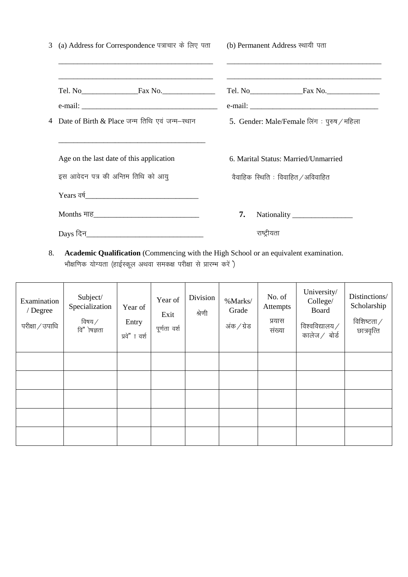| 3 (a) Address for Correspondence पत्राचार के लिए पता (b) Permanent Address स्थायी पता<br><u> 1989 - Johann John Stoff, deutscher Stoff und der Stoff und der Stoff und der Stoff und der Stoff und der Stoff</u> | the contract of the contract of the contract of the contract of the contract of the contract of the contract of |
|------------------------------------------------------------------------------------------------------------------------------------------------------------------------------------------------------------------|-----------------------------------------------------------------------------------------------------------------|
| 4 Date of Birth & Place जन्म तिथि एवं जन्म–स्थान                                                                                                                                                                 | 5. Gender: Male/Female लिंग: पुरुष / महिला                                                                      |
| Age on the last date of this application                                                                                                                                                                         | 6. Marital Status: Married/Unmarried                                                                            |
| इस आवेदन पत्र की अन्तिम तिथि को आयू                                                                                                                                                                              | वैवाहिक स्थिति : विवाहित /अविवाहित                                                                              |
|                                                                                                                                                                                                                  |                                                                                                                 |
|                                                                                                                                                                                                                  | 7.                                                                                                              |
|                                                                                                                                                                                                                  | राष्ट्रीयता                                                                                                     |

8. Academic Qualification (Commencing with the High School or an equivalent examination. .<br>भौक्षणिक योग्यता (हाईस्कूल अथवा समकक्ष परीक्षा से प्रारम्भ करें )

| Examination<br>/ Degree<br>परीक्षा / उपाधि | Subject/<br>Specialization<br>विषय ⁄<br>वि"ोषज्ञता | Year of<br>Entry<br>प्रवे"ा वर्श | Year of<br>Exit<br>पूर्णता वर्श | Division<br>श्रेणी | %Marks/<br>Grade<br>अंक / ग्रेड | No. of<br>Attempts<br>प्रयास<br>संख्या | University/<br>College/<br>Board<br>विश्वविद्यालय $\angle$<br>कालेज $/$ बोर्ड | Distinctions/<br>Scholarship<br>विशिष्टता $\angle$<br>छात्रवृत्ति |
|--------------------------------------------|----------------------------------------------------|----------------------------------|---------------------------------|--------------------|---------------------------------|----------------------------------------|-------------------------------------------------------------------------------|-------------------------------------------------------------------|
|                                            |                                                    |                                  |                                 |                    |                                 |                                        |                                                                               |                                                                   |
|                                            |                                                    |                                  |                                 |                    |                                 |                                        |                                                                               |                                                                   |
|                                            |                                                    |                                  |                                 |                    |                                 |                                        |                                                                               |                                                                   |
|                                            |                                                    |                                  |                                 |                    |                                 |                                        |                                                                               |                                                                   |
|                                            |                                                    |                                  |                                 |                    |                                 |                                        |                                                                               |                                                                   |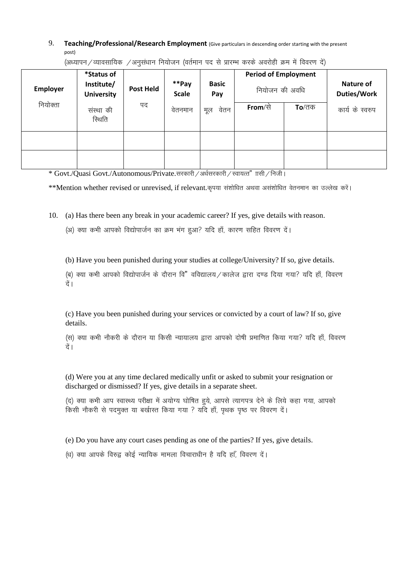9. **Teaching/Professional/Research Employment** (Give particulars in descending order starting with the present post)

(अध्यापन / व्यावसायिक / अनुसंधान नियोजन (वर्तमान पद से प्रारम्भ करके अवरोही क्रम में विवरण दें)

| <b>Employer</b> | *Status of<br>Institute/<br><b>University</b> | Post Held | **Pay<br><b>Scale</b> | <b>Basic</b><br>Pay | <b>Period of Employment</b><br>नियोजन की अवधि |               | Nature of<br><b>Duties/Work</b> |
|-----------------|-----------------------------------------------|-----------|-----------------------|---------------------|-----------------------------------------------|---------------|---------------------------------|
| नियोक्ता        | संस्था की<br>स्थिति                           | पद        | वेतनमान               | वेतन<br>मूल         | <b>From</b> /से                               | <b>To</b> /तक | कार्य के स्वरुप                 |
|                 |                                               |           |                       |                     |                                               |               |                                 |
|                 |                                               |           |                       |                     |                                               |               |                                 |

\* Govt./Quasi Govt./Autonomous/Private.सरकारी / अर्धसरकारी / स्वायत्त" ॥सी / निजी।

\*\*Mention whether revised or unrevised, if relevant.कृपया संशोधित अथवा असंशोधित वेतनमान का उल्लेख करें।

10. (a) Has there been any break in your academic career? If yes, give details with reason.

(अ) क्या कभी आपको विद्योपार्जन का क्रम भंग हुआ? यदि हाँ, कारण सहित विवरण दें।

(b) Have you been punished during your studies at college/University? If so, give details.

(ब) क्या कभी आपको विद्योपार्जन के दौरान वि" वविद्यालय / कालेज द्वारा दण्ड दिया गया? यदि हाँ, विवरण दें ।

(c) Have you been punished during your services or convicted by a court of law? If so, give details.

(स) क्या कभी नौकरी के दौरान या किसी न्यायालय द्वारा आपको दोषी प्रमाणित किया गया? यदि हाँ, विवरण दे ।

(d) Were you at any time declared medically unfit or asked to submit your resignation or discharged or dismissed? If yes, give details in a separate sheet.

(द) क्या कभी आप स्वास्थ्य परीक्षा में अयोग्य घोषित हूये, आपसे त्यागपत्र देने के लिये कहा गया, आपको किसी नौकरी से पदमुक्त या बर्खास्त किया गया ? यदि हाँ, पृथक पृष्ठ पर विवरण दें।

(e) Do you have any court cases pending as one of the parties? If yes, give details.

(ध) क्या आपके विरुद्व कोई न्यायिक मामला विचाराधीन है यदि हाँ, विवरण दें।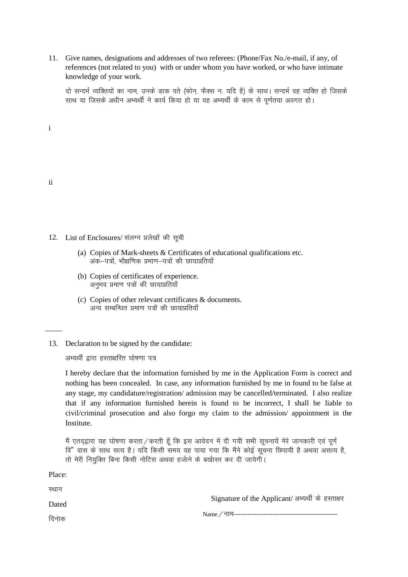11. Give names, designations and addresses of two referees: (Phone/Fax No./e-mail, if any, of references (not related to you) with or under whom you have worked, or who have intimate knowledge of your work.

दो सन्दर्भ व्यक्तियों का नाम, उनके डाक पते (फोन, फैक्स न. यदि है) के साथ। सन्दर्भ वह व्यक्ति हो जिसके साथ या जिसके अधीन अभ्यर्थी ने कार्य किया हो या वह अभ्यर्थी के काम से पूर्णतया अवगत हो।

i

| . . |
|-----|

Place:

- 12. List of Enclosures/ संलग्न प्रलेखों की सूची
	- (a) Copies of Mark-sheets & Certificates of educational qualifications etc. अंक–पत्रों, भौक्षणिक प्रमाण–पत्रों की छायाप्रतियाँ
	- (b) Copies of certificates of experience. अनुभव प्रमाण पत्रों की छायाप्रतियाँ
	- (c) Copies of other relevant certificates & documents. अन्य सम्बन्धित प्रमाण पत्रों की छायाप्रतियाँ
- 13. Declaration to be signed by the candidate:

अभ्यर्थी द्वारा हस्ताक्षरित घोषणा पत्र

I hereby declare that the information furnished by me in the Application Form is correct and nothing has been concealed. In case, any information furnished by me in found to be false at any stage, my candidature/registration/ admission may be cancelled/terminated. I also realize that if any information furnished herein is found to be incorrect, I shall be liable to civil/criminal prosecution and also forgo my claim to the admission/ appointment in the Institute.

मैं एतद्द्वारा यह घोषणा करता / करती हूँ कि इस आवेदन में दी गयी सभी सूचनायें मेरे जानकारी एवं पूर्ण <u>वि" वास के साथ सत्य है। यदि किसी समय यह पाया गया कि मैंने कोई सूचना छिपायी है अथवा असत्य है, </u> तो मेरी नियुक्ति बिना किसी नोटिस अथवा हर्जाने के बर्खास्त कर दी जायेगी।

| स्थान |                                                  |
|-------|--------------------------------------------------|
| Dated | Signature of the Applicant/अभ्यर्थी के हस्ताक्षर |
| दिनाक |                                                  |